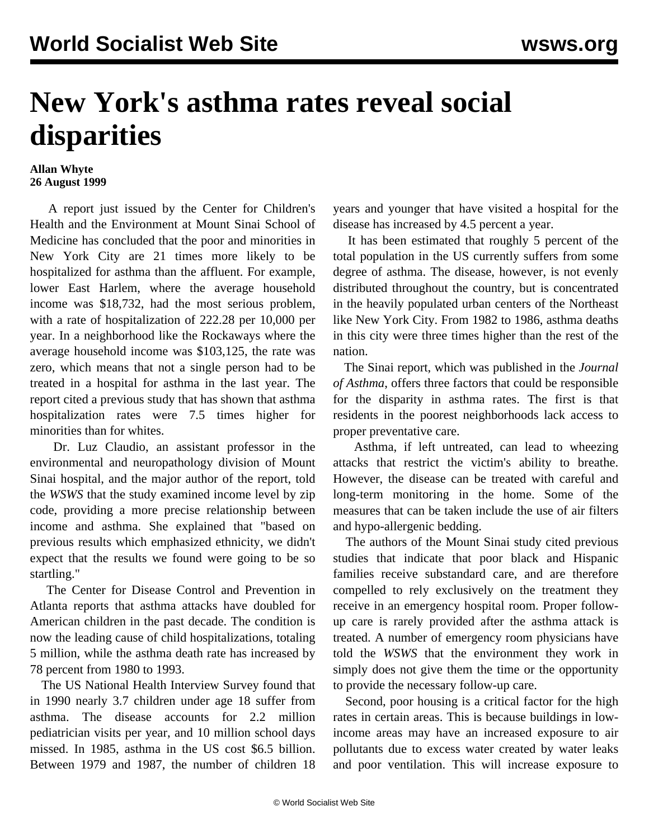## **New York's asthma rates reveal social disparities**

## **Allan Whyte 26 August 1999**

 A report just issued by the Center for Children's Health and the Environment at Mount Sinai School of Medicine has concluded that the poor and minorities in New York City are 21 times more likely to be hospitalized for asthma than the affluent. For example, lower East Harlem, where the average household income was \$18,732, had the most serious problem, with a rate of hospitalization of 222.28 per 10,000 per year. In a neighborhood like the Rockaways where the average household income was \$103,125, the rate was zero, which means that not a single person had to be treated in a hospital for asthma in the last year. The report cited a previous study that has shown that asthma hospitalization rates were 7.5 times higher for minorities than for whites.

 Dr. Luz Claudio, an assistant professor in the environmental and neuropathology division of Mount Sinai hospital, and the major author of the report, told the *WSWS* that the study examined income level by zip code, providing a more precise relationship between income and asthma. She explained that "based on previous results which emphasized ethnicity, we didn't expect that the results we found were going to be so startling."

 The Center for Disease Control and Prevention in Atlanta reports that asthma attacks have doubled for American children in the past decade. The condition is now the leading cause of child hospitalizations, totaling 5 million, while the asthma death rate has increased by 78 percent from 1980 to 1993.

 The US National Health Interview Survey found that in 1990 nearly 3.7 children under age 18 suffer from asthma. The disease accounts for 2.2 million pediatrician visits per year, and 10 million school days missed. In 1985, asthma in the US cost \$6.5 billion. Between 1979 and 1987, the number of children 18 years and younger that have visited a hospital for the disease has increased by 4.5 percent a year.

 It has been estimated that roughly 5 percent of the total population in the US currently suffers from some degree of asthma. The disease, however, is not evenly distributed throughout the country, but is concentrated in the heavily populated urban centers of the Northeast like New York City. From 1982 to 1986, asthma deaths in this city were three times higher than the rest of the nation.

 The Sinai report, which was published in the *Journal of Asthma*, offers three factors that could be responsible for the disparity in asthma rates. The first is that residents in the poorest neighborhoods lack access to proper preventative care.

 Asthma, if left untreated, can lead to wheezing attacks that restrict the victim's ability to breathe. However, the disease can be treated with careful and long-term monitoring in the home. Some of the measures that can be taken include the use of air filters and hypo-allergenic bedding.

 The authors of the Mount Sinai study cited previous studies that indicate that poor black and Hispanic families receive substandard care, and are therefore compelled to rely exclusively on the treatment they receive in an emergency hospital room. Proper followup care is rarely provided after the asthma attack is treated. A number of emergency room physicians have told the *WSWS* that the environment they work in simply does not give them the time or the opportunity to provide the necessary follow-up care.

 Second, poor housing is a critical factor for the high rates in certain areas. This is because buildings in lowincome areas may have an increased exposure to air pollutants due to excess water created by water leaks and poor ventilation. This will increase exposure to